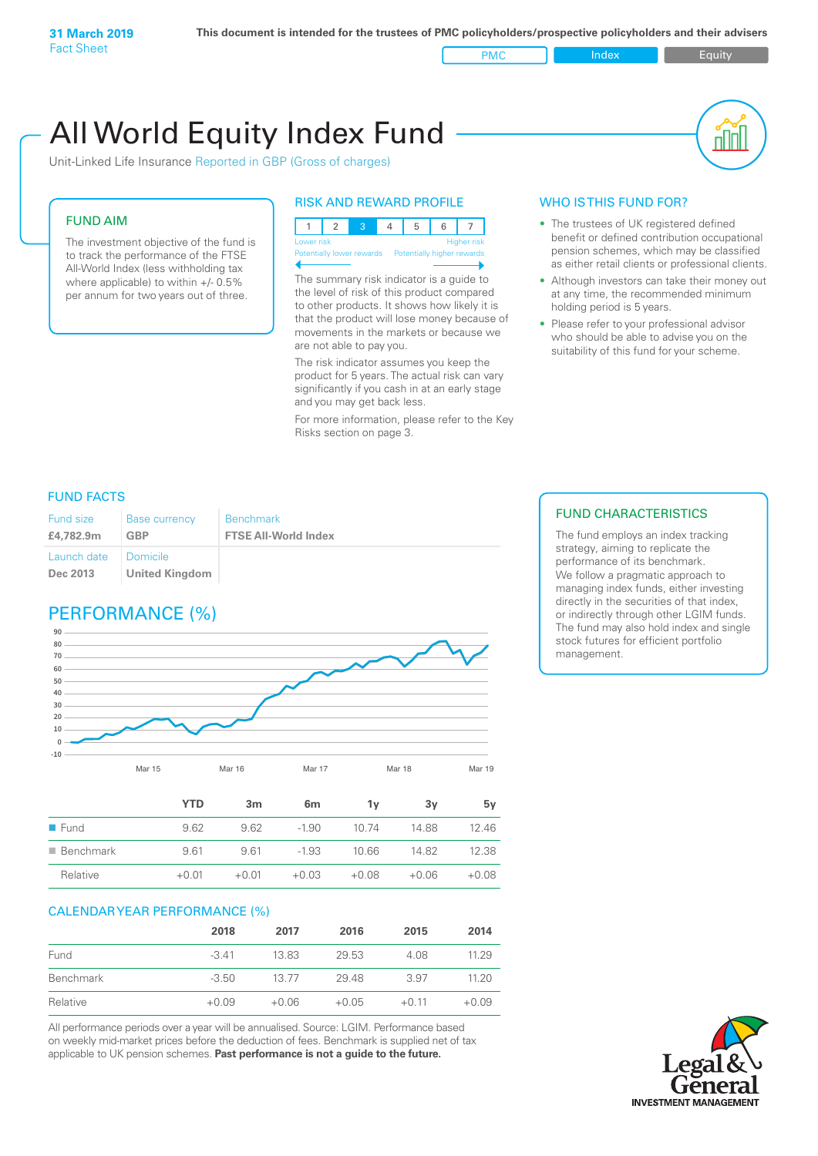PMC Index PMC Equity

# All World Equity Index Fund

Unit-Linked Life Insurance Reported in GBP (Gross of charges)

# FUND AIM

The investment objective of the fund is to track the performance of the FTSE All-World Index (less withholding tax where applicable) to within +/- 0.5% per annum for two years out of three.

# RISK AND REWARD PROFILE

|  | Lower risk |  |  |                                                      |  | <b>Higher</b> risk |  |
|--|------------|--|--|------------------------------------------------------|--|--------------------|--|
|  |            |  |  | Potentially lower rewards Potentially higher rewards |  |                    |  |

The summary risk indicator is a guide to the level of risk of this product compared to other products. It shows how likely it is that the product will lose money because of movements in the markets or because we are not able to pay you.

The risk indicator assumes you keep the product for 5 years. The actual risk can vary significantly if you cash in at an early stage and you may get back less.

For more information, please refer to the Key Risks section on page 3.

# WHO IS THIS FUND FOR?

- The trustees of UK registered defined benefit or defined contribution occupational pension schemes, which may be classified as either retail clients or professional clients.
- Although investors can take their money out at any time, the recommended minimum holding period is 5 years.
- Please refer to your professional advisor who should be able to advise you on the suitability of this fund for your scheme.

# FUND FACTS

| Fund size                          | <b>Base currency</b>  | <b>Benchmark</b>            |
|------------------------------------|-----------------------|-----------------------------|
| £4,782.9m                          | GBP                   | <b>FTSE All-World Index</b> |
| Launch date   Domicile<br>Dec 2013 | <b>United Kingdom</b> |                             |

# PERFORMANCE (%)



|                          | YTD     | 3 <sub>m</sub> | 6 <sub>m</sub> | ٦v      | 3v      | 5v      |
|--------------------------|---------|----------------|----------------|---------|---------|---------|
| $\blacksquare$ Fund      | 9.62    | 9.62           | $-1.90$        | 10.74   | 14.88   | 12.46   |
| $\blacksquare$ Benchmark | 9.61    | 9.61           | $-1.93$        | 10.66   | 14.82   | 12.38   |
| Relative                 | $+0.01$ | $+0.01$        | $+0.03$        | $+0.08$ | $+0.06$ | $+0.08$ |

# CALENDAR YEAR PERFORMANCE (%)

|           | 2018    | 2017    | 2016    | 2015    | 2014    |
|-----------|---------|---------|---------|---------|---------|
| Fund      | $-3.41$ | 13.83   | 29.53   | 4.08    | 11.29   |
| Benchmark | $-3.50$ | 13.77   | 29.48   | 3.97    | 11.20   |
| Relative  | $+0.09$ | $+0.06$ | $+0.05$ | $+0.11$ | $+0.09$ |

All performance periods over a year will be annualised. Source: LGIM. Performance based on weekly mid-market prices before the deduction of fees. Benchmark is supplied net of tax applicable to UK pension schemes. **Past performance is not a guide to the future.**

# FUND CHARACTERISTICS

The fund employs an index tracking strategy, aiming to replicate the performance of its benchmark. We follow a pragmatic approach to managing index funds, either investing directly in the securities of that index, or indirectly through other LGIM funds. The fund may also hold index and single stock futures for efficient portfolio management.

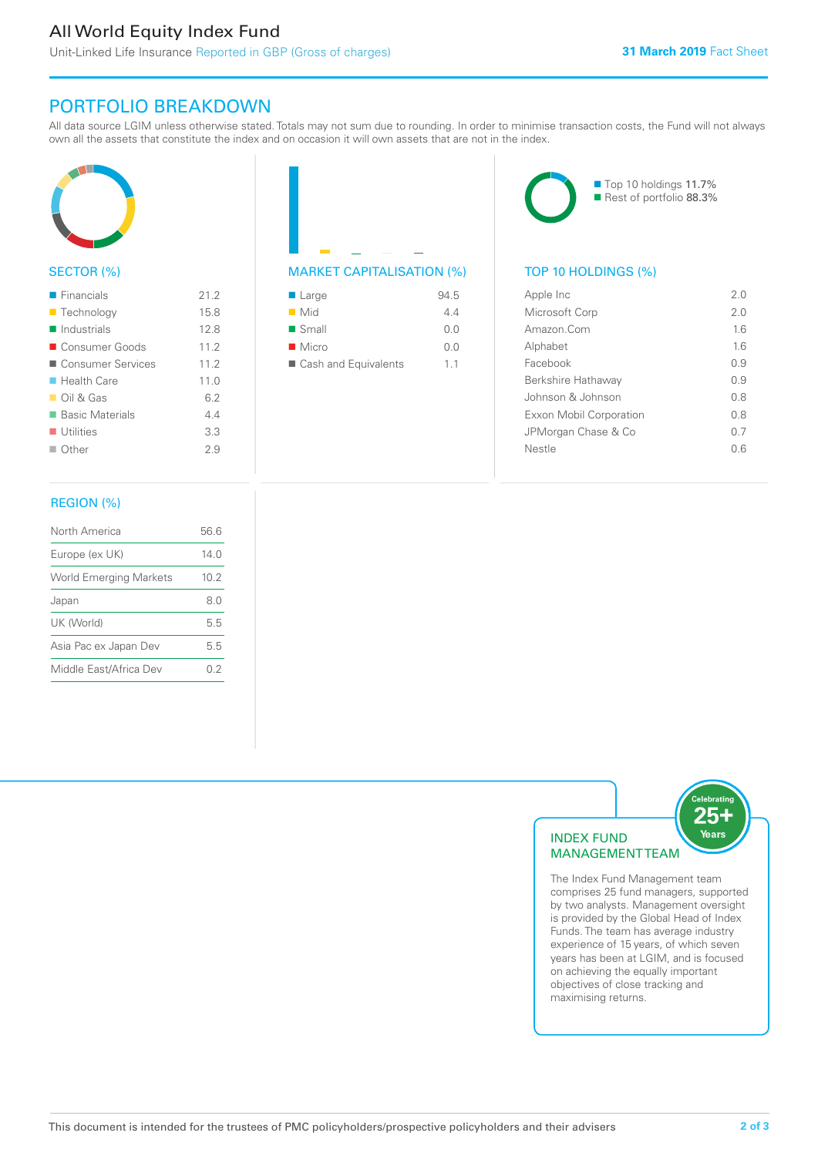# All World Equity Index Fund

Unit-Linked Life Insurance Reported in GBP (Gross of charges)

# PORTFOLIO BREAKDOWN

All data source LGIM unless otherwise stated. Totals may not sum due to rounding. In order to minimise transaction costs, the Fund will not always own all the assets that constitute the index and on occasion it will own assets that are not in the index.



# SECTOR (%)

| $\blacksquare$ Financials  | 21.2 |
|----------------------------|------|
| ■ Technology               | 15.8 |
| $\blacksquare$ Industrials | 12.8 |
| ■ Consumer Goods           | 11.2 |
| ■ Consumer Services        | 11.2 |
| $\blacksquare$ Health Care | 11.0 |
| $\Box$ Oil & Gas           | 6.2  |
| ■ Basic Materials          | 44   |
| $\blacksquare$ Utilities   | 3.3  |
| $\Box$ Other               | 29   |
|                            |      |

# MARKET CAPITALISATION (%) TOP 10 HOLDINGS (%)

| $\blacksquare$ Large | 94.5 |
|----------------------|------|
| $\blacksquare$ Mid   | 44   |
| $\blacksquare$ Small | 0.0  |
| $\blacksquare$ Micro | 0.0  |
| Cash and Equivalents | 11   |

■ Top 10 holdings 11.7% Rest of portfolio 88.3%

| Apple Inc               | 2.0 |
|-------------------------|-----|
| Microsoft Corp          | 2.0 |
| Amazon Com              | 16  |
| Alphabet                | 16  |
| Facebook                | 09  |
| Berkshire Hathaway      | 09  |
| Johnson & Johnson       | 0 S |
| Exxon Mobil Corporation | 08  |
| JPMorgan Chase & Co     | 0 7 |
| Nestle                  | 0.6 |
|                         |     |

# REGION (%)

| North America                 | 56.6 |
|-------------------------------|------|
| Europe (ex UK)                | 140  |
| <b>World Emerging Markets</b> | 10 2 |
| Japan                         | 8.0  |
| UK (World)                    | 55   |
| Asia Pac ex Japan Dev         | 5.5  |
| Middle East/Africa Dev        | 02   |
|                               |      |



The Index Fund Management team comprises 25 fund managers, supported by two analysts. Management oversight is provided by the Global Head of Index Funds. The team has average industry experience of 15 years, of which seven years has been at LGIM, and is focused on achieving the equally important objectives of close tracking and maximising returns.